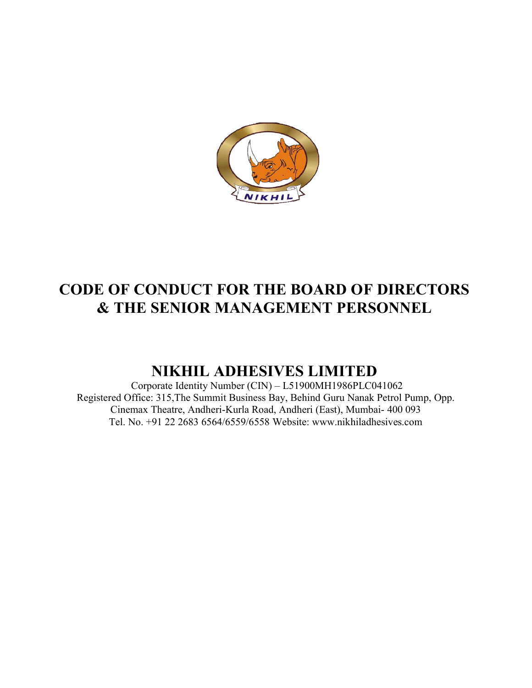

# CODE OF CONDUCT FOR THE BOARD OF DIRECTORS & THE SENIOR SENIOR MANAGEMENT PERSONNEL

## NIKHIL NIKHIL ADHESIVES LIMITED

Corporate Identity Number (CIN) - L51900MH1986PLC041062 Registered Office: 315, The Summit Business Bay, Behind Guru Nanak Petrol Pump, Opp. Cinemax Theatre, Andheri Andheri-Kurla Road, Andheri (East), Mumbai- 400 093 Tel. No. +91 22 2683 6564/6559/6558 6564/6559/6558 Website: www.nikhiladhesives.com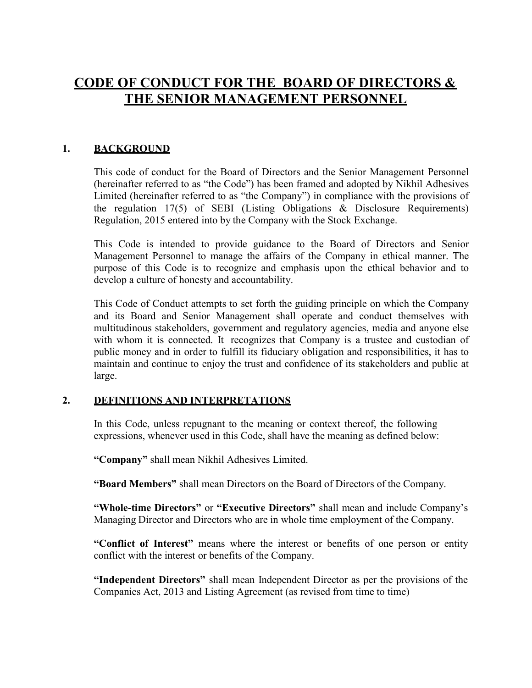### CODE OF CONDUCT FOR THE BOARD OF DIRECTORS & THE SENIOR MANAGEMENT PERSONNEL

#### 1. BACKGROUND

This code of conduct for the Board of Directors and the Senior Management Personnel (hereinafter referred to as "the Code") has been framed and adopted by Nikhil Adhesives Limited (hereinafter referred to as "the Company") in compliance with the provisions of the regulation 17(5) of SEBI (Listing Obligations & Disclosure Requirements) Regulation, 2015 entered into by the Company with the Stock Exchange.

This Code is intended to provide guidance to the Board of Directors and Senior Management Personnel to manage the affairs of the Company in ethical manner. The purpose of this Code is to recognize and emphasis upon the ethical behavior and to develop a culture of honesty and accountability.

This Code of Conduct attempts to set forth the guiding principle on which the Company and its Board and Senior Management shall operate and conduct themselves with multitudinous stakeholders, government and regulatory agencies, media and anyone else with whom it is connected. It recognizes that Company is a trustee and custodian of public money and in order to fulfill its fiduciary obligation and responsibilities, it has to maintain and continue to enjoy the trust and confidence of its stakeholders and public at large.

#### 2. DEFINITIONS AND INTERPRETATIONS

In this Code, unless repugnant to the meaning or context thereof, the following expressions, whenever used in this Code, shall have the meaning as defined below:

"Company" shall mean Nikhil Adhesives Limited.

"Board Members" shall mean Directors on the Board of Directors of the Company.

"Whole-time Directors" or "Executive Directors" shall mean and include Company's Managing Director and Directors who are in whole time employment of the Company.

"Conflict of Interest" means where the interest or benefits of one person or entity conflict with the interest or benefits of the Company.

"Independent Directors" shall mean Independent Director as per the provisions of the Companies Act, 2013 and Listing Agreement (as revised from time to time)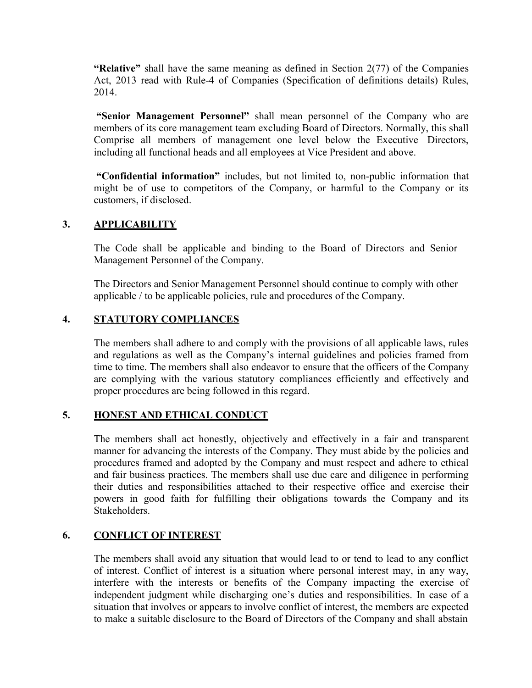"Relative" shall have the same meaning as defined in Section  $2(77)$  of the Companies Act, 2013 read with Rule-4 of Companies (Specification of definitions details) Rules, 2014.

"Senior Management Personnel" shall mean personnel of the Company who are members of its core management team excluding Board of Directors. Normally, this shall Comprise all members of management one level below the Executive Directors, including all functional heads and all employees at Vice President and above.

"Confidential information" includes, but not limited to, non-public information that might be of use to competitors of the Company, or harmful to the Company or its customers, if disclosed.

### 3. APPLICABILITY

The Code shall be applicable and binding to the Board of Directors and Senior Management Personnel of the Company.

The Directors and Senior Management Personnel should continue to comply with other applicable / to be applicable policies, rule and procedures of the Company.

#### 4. STATUTORY COMPLIANCES

The members shall adhere to and comply with the provisions of all applicable laws, rules and regulations as well as the Company's internal guidelines and policies framed from time to time. The members shall also endeavor to ensure that the officers of the Company are complying with the various statutory compliances efficiently and effectively and proper procedures are being followed in this regard.

#### 5. HONEST AND ETHICAL CONDUCT

The members shall act honestly, objectively and effectively in a fair and transparent manner for advancing the interests of the Company. They must abide by the policies and procedures framed and adopted by the Company and must respect and adhere to ethical and fair business practices. The members shall use due care and diligence in performing their duties and responsibilities attached to their respective office and exercise their powers in good faith for fulfilling their obligations towards the Company and its Stakeholders.

#### 6. CONFLICT OF INTEREST

The members shall avoid any situation that would lead to or tend to lead to any conflict of interest. Conflict of interest is a situation where personal interest may, in any way, interfere with the interests or benefits of the Company impacting the exercise of independent judgment while discharging one's duties and responsibilities. In case of a situation that involves or appears to involve conflict of interest, the members are expected to make a suitable disclosure to the Board of Directors of the Company and shall abstain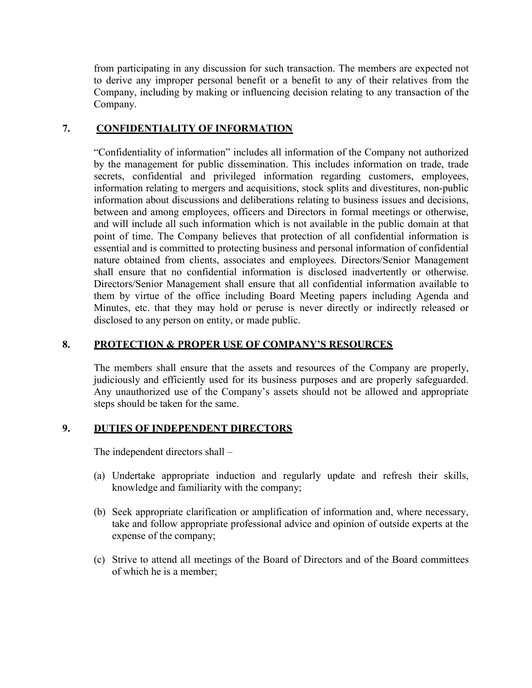from participating in any discussion for such transaction. The members are expected not to derive any improper personal benefit or a benefit to any of their relatives from the Company, including by making or influencing decision relating to any transaction of the Company.

#### 7. CONFIDENTIALITY OF INFORMATION

"Confidentiality of information" includes all information of the Company not authorized by the management for public dissemination. This includes information on trade, trade secrets, confidential and privileged information regarding customers, employees, information relating to mergers and acquisitions, stock splits and divestitures, non-public information about discussions and deliberations relating to business issues and decisions, between and among employees, officers and Directors in formal meetings or otherwise, and will include all such information which is not available in the public domain at that point of time. The Company believes that protection of all confidential information is essential and is committed to protecting business and personal information of confidential nature obtained from clients, associates and employees. Directors/Senior Management shall ensure that no confidential information is disclosed inadvertently or otherwise. Directors/Senior Management shall ensure that all confidential information available to them by virtue of the office including Board Meeting papers including Agenda and Minutes, etc. that they may hold or peruse is never directly or indirectly released or disclosed to any person on entity, or made public.

#### 8. PROTECTION & PROPER USE OF COMPANY'S RESOURCES

The members shall ensure that the assets and resources of the Company are properly, judiciously and efficiently used for its business purposes and are properly safeguarded. Any unauthorized use of the Company's assets should not be allowed and appropriate steps should be taken for the same.

#### 9. DUTIES OF INDEPENDENT DIRECTORS

The independent directors shall –

- (a) Undertake appropriate induction and regularly update and refresh their skills, knowledge and familiarity with the company;
- (b) Seek appropriate clarification or amplification of information and, where necessary, take and follow appropriate professional advice and opinion of outside experts at the expense of the company;
- (c) Strive to attend all meetings of the Board of Directors and of the Board committees of which he is a member;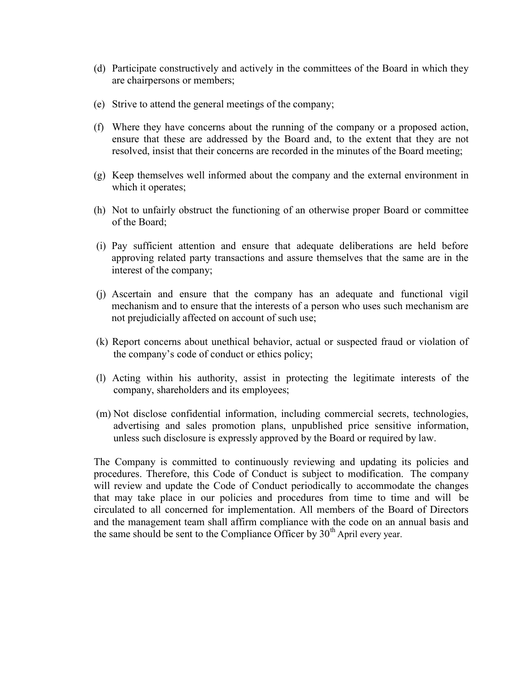- (d) Participate constructively and actively in the committees of the Board in which they are chairpersons or members;
- (e) Strive to attend the general meetings of the company;
- (f) Where they have concerns about the running of the company or a proposed action, ensure that these are addressed by the Board and, to the extent that they are not resolved, insist that their concerns are recorded in the minutes of the Board meeting;
- (g) Keep themselves well informed about the company and the external environment in which it operates;
- (h) Not to unfairly obstruct the functioning of an otherwise proper Board or committee of the Board;
- (i) Pay sufficient attention and ensure that adequate deliberations are held before approving related party transactions and assure themselves that the same are in the interest of the company;
- (j) Ascertain and ensure that the company has an adequate and functional vigil mechanism and to ensure that the interests of a person who uses such mechanism are not prejudicially affected on account of such use;
- (k) Report concerns about unethical behavior, actual or suspected fraud or violation of the company's code of conduct or ethics policy;
- (l) Acting within his authority, assist in protecting the legitimate interests of the company, shareholders and its employees;
- (m) Not disclose confidential information, including commercial secrets, technologies, advertising and sales promotion plans, unpublished price sensitive information, unless such disclosure is expressly approved by the Board or required by law.

The Company is committed to continuously reviewing and updating its policies and procedures. Therefore, this Code of Conduct is subject to modification. The company will review and update the Code of Conduct periodically to accommodate the changes that may take place in our policies and procedures from time to time and will be circulated to all concerned for implementation. All members of the Board of Directors and the management team shall affirm compliance with the code on an annual basis and the same should be sent to the Compliance Officer by  $30<sup>th</sup>$  April every year.